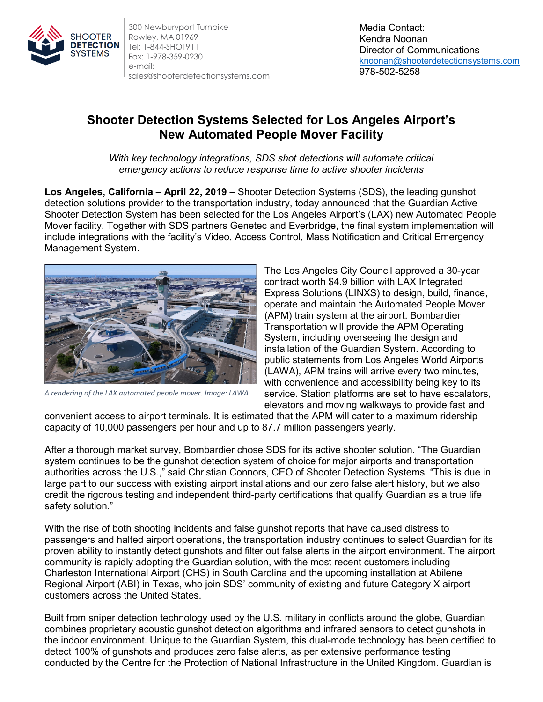

300 Newburyport Turnpike Rowley, MA 01969 Tel: 1-844-SHOT911 Fax: 1-978-359-0230 e-mail: sales@shooterdetectionsystems.com

Media Contact: Kendra Noonan Director of Communications [knoonan@shooterdetectionsystems.com](mailto:knoonan@shooterdetectionsystems.com) 978-502-5258

## **Shooter Detection Systems Selected for Los Angeles Airport's New Automated People Mover Facility**

*With key technology integrations, SDS shot detections will automate critical emergency actions to reduce response time to active shooter incidents*

**Los Angeles, California – April 22, 2019 –** Shooter Detection Systems (SDS), the leading gunshot detection solutions provider to the transportation industry, today announced that the Guardian Active Shooter Detection System has been selected for the Los Angeles Airport's (LAX) new Automated People Mover facility. Together with SDS partners Genetec and Everbridge, the final system implementation will include integrations with the facility's Video, Access Control, Mass Notification and Critical Emergency Management System.



*A rendering of the LAX automated people mover. Image: LAWA*

The Los Angeles City Council approved a 30-year contract worth \$4.9 billion with LAX Integrated Express Solutions (LINXS) to design, build, finance, operate and maintain the Automated People Mover (APM) train system at the airport. Bombardier Transportation will provide the APM Operating System, including overseeing the design and installation of the Guardian System. According to public statements from Los Angeles World Airports (LAWA), APM trains will arrive every two minutes, with convenience and accessibility being key to its service. Station platforms are set to have escalators, elevators and moving walkways to provide fast and

convenient access to airport terminals. It is estimated that the APM will cater to a maximum ridership capacity of 10,000 passengers per hour and up to 87.7 million passengers yearly.

After a thorough market survey, Bombardier chose SDS for its active shooter solution. "The Guardian system continues to be the gunshot detection system of choice for major airports and transportation authorities across the U.S.," said Christian Connors, CEO of Shooter Detection Systems. "This is due in large part to our success with existing airport installations and our zero false alert history, but we also credit the rigorous testing and independent third-party certifications that qualify Guardian as a true life safety solution."

With the rise of both shooting incidents and false gunshot reports that have caused distress to passengers and halted airport operations, the transportation industry continues to select Guardian for its proven ability to instantly detect gunshots and filter out false alerts in the airport environment. The airport community is rapidly adopting the Guardian solution, with the most recent customers including Charleston International Airport (CHS) in South Carolina and the upcoming installation at Abilene Regional Airport (ABI) in Texas, who join SDS' community of existing and future Category X airport customers across the United States.

Built from sniper detection technology used by the U.S. military in conflicts around the globe, Guardian combines proprietary acoustic gunshot detection algorithms and infrared sensors to detect gunshots in the indoor environment. Unique to the Guardian System, this dual-mode technology has been certified to detect 100% of gunshots and produces zero false alerts, as per extensive performance testing conducted by the Centre for the Protection of National Infrastructure in the United Kingdom. Guardian is